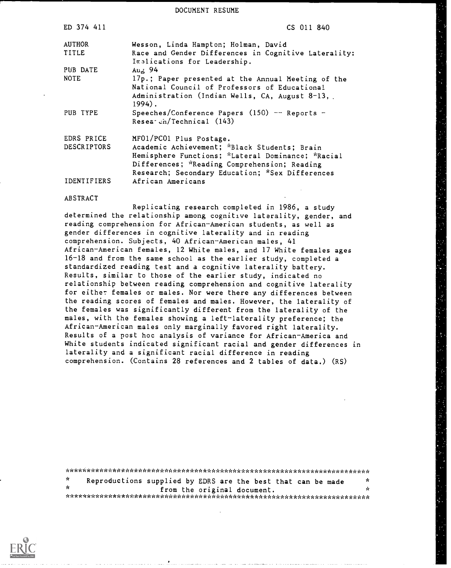DOCUMENT RESUME

| ED 374 411         | CS 011 840                                                                                          |
|--------------------|-----------------------------------------------------------------------------------------------------|
| <b>AUTHOR</b>      | Wesson, Linda Hampton; Holman, David                                                                |
| TITLE              | Race and Gender Differences in Cognitive Laterality:<br>Inslications for Leadership.                |
| PUB DATE           | $Au2$ 94                                                                                            |
| <b>NOTE</b>        | 17p.; Paper presented at the Annual Meeting of the<br>National Council of Professors of Educational |
|                    | Administration (Indian Wells, CA, August 8-13,<br>$1994$ .                                          |
| PUB TYPE           | Speeches/Conference Papers $(150)$ -- Reports -<br>Resea cn/Technical (143)                         |
| EDRS PRICE         | MF01/PC01 Plus Postage.                                                                             |
| <b>DESCRIPTORS</b> | Academic Achievement; *Black Students; Brain                                                        |
|                    | Hemisphere Functions; *Lateral Dominance; *Racial                                                   |
|                    | Differences; *Reading Comprehension; Reading                                                        |
|                    | Research; Secondary Education; *Sex Differences                                                     |
| IDENTIFIERS        | African Americans                                                                                   |
| ABSTRACT           |                                                                                                     |

Replicating research completed in 1986, a study determined the relationship among cognitive laterality, gender, and reading comprehension for African-American students, as well as gender differences in cognitive laterality and in reading comprehension. Subjects, 40 African-American males, 41 African-American females, 12 White males, and 17 White females ages 16-18 and from the same school as the earlier study, completed a standardized reading test and a cognitive laterality battery. Results, similar to those of the earlier study, indicated no relationship between reading comprehension and cognitive laterality for either females or males. Nor were there any differences between the reading scores of females and males. However, the laterality of the females was significantly different from the laterality of the males, with the females showing a left-laterality preference; the African-American males only marginally favored right laterality. Results of a post hoc analysis of variance for African-America and White students indicated significant racial and gender differences in laterality and a significant racial difference in reading comprehension. (Contains 28 references and 2 tables of data.) (RS)

| x.  | Reproductions supplied by EDRS are the best that can be made |  |  |                             |  | Y.  |
|-----|--------------------------------------------------------------|--|--|-----------------------------|--|-----|
| -se |                                                              |  |  | from the original document. |  | -ic |
|     |                                                              |  |  |                             |  |     |

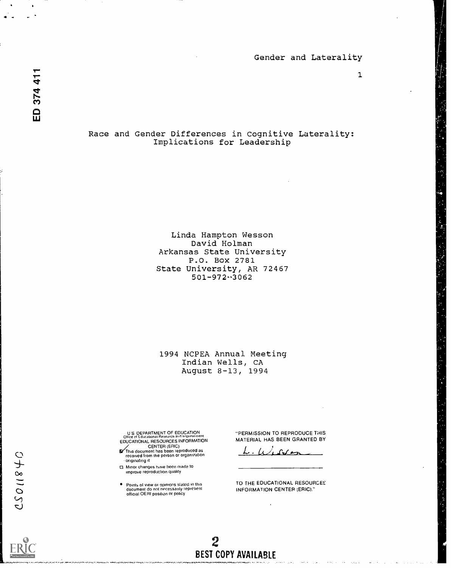ED 374 411

 $4 \times 10^{-4}$ 

Race and Gender Differences in Cognitive Laterality: Implications for Leadership

> Linda Hampton Wesson David Holman Arkansas State University P.O. Box 2781 State University, AR 72467  $501 - 972 - 3062$

1994 NCPEA Annual Meeting Indian Wells, CA August 8-13, 1994

U S DEPARTMENT OF EDUCATION<br>Office of Educational Resources<br>EDUCATIONAL RESOURCES INFORMATION

- CENTER (ERIC)<br>This document has been reproduced as<br>received from the person or organization originating it
- Minor changes have been made to improve reproduction quality
- Points of view or opinions stated in this<br>document do not necessarily represent<br>official OERI position or policy

"PERMISSION TO REPRODUCE THIS MATERIAL HAS BEEN GRANTED BY

 $L \cup L$ 

TO THE EDUCATIONAL RESOURCES INFORMATION CENTER (ERIC)."

2 BEST COPY AVAILABLE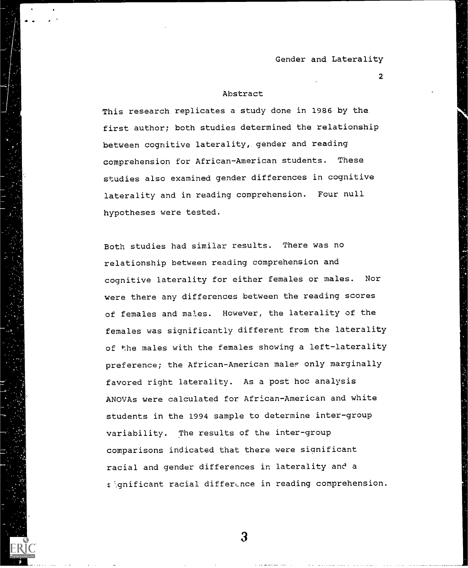#### Abstract

This research replicates a study done in 1986 by the first author; both studies determined the relationship between cognitive laterality, gender and reading comprehension for African-American students. These studies also examined gender differences in cognitive laterality and in reading comprehension. Four null hypotheses were tested.

Both studies had similar results. There was no relationship between reading comprehension and cognitive laterality for either females or males. Nor were there any differences between the reading scores of females and males. However, the laterality of the females was significantly different from the laterality of the males with the females showing a left-laterality preference; the African-American males only marginally favored right laterality. As a post hoc analysis ANOVAs were calculated for. African-American and white students in the 1994 sample to determine inter-group variability. The results of the inter-group comparisons indicated that there were significant racial and gender differences in laterality and a  $\epsilon$  qnificant racial difference in reading comprehension.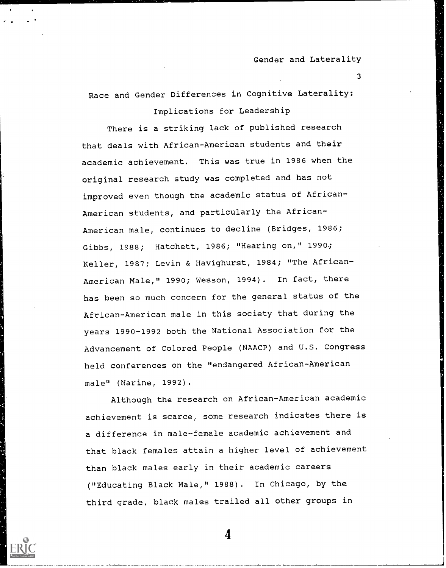3

Race and Gender Differences in Cognitive Laterality: Implications for Leadership

There is a striking lack of published research that deals with African-American students and their academic achievement. This was true in 1986 when the original research study was completed and has not improved even though the academic status of African-American students, and particularly the African-American male, continues to decline (Bridges, 1986; Gibbs, 1988; Hatchett, 1986; "Hearing on," 1990.; Keller, 1987; Levin & Havighurst, 1984; "The African-American Male," 1990; Wesson, 1994). In fact, there has been so much concern for the general status of the African-American male in this society that during the years 1990-1992 both the National Association for the Advancement of Colored People (NAACP) and U.S. Congress held conferences on the "endangered African-American male" (Narine, 1992).

Although the research on African-American academic achievement is scarce, some research indicates there is a difference in male-female academic achievement and that black females attain a higher level of achievement than black males early in their academic careers ("Educating Black Male," 1988). In Chicago, by the third grade, black males trailed all other groups in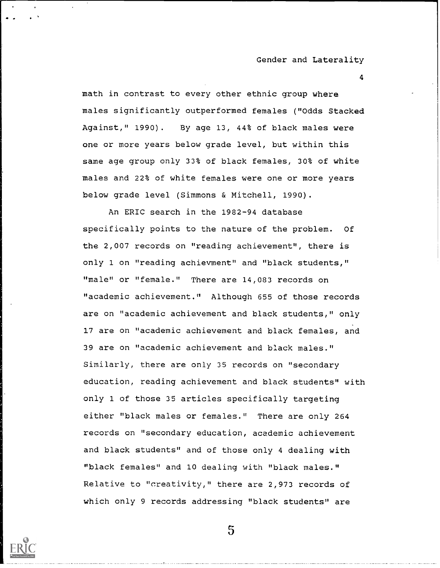4

math in contrast to every other ethnic group where males significantly outperformed females ("Odds Stacked Against," 1990). By age 13, 44% of black males were one or more years below grade level, but within this same age group only 33% of black females, 30% of white males and 22% of white females were one or more years below grade level (Simmons & Mitchell, 1990).

An ERIC search in the 1982-94 database specifically points to the nature of the problem. Of the 2,007 records on "reading achievement", there is only 1 on "reading achievment" and "black students," "male" or "female." There are 14,083 records on "academic achievement." Although 655 of those records are on "academic achievement and black students," only 17 are on "academic achievement and black females, and 39 are on "academic achievement and black males." Similarly, there are only 35 records on "secondary education, reading achievement and black students" with only 1 of those 35 articles specifically targeting either "black males or females." There are only 264 records on "secondary education, academic achievement and black students" and of those only 4 dealing with "black females" and 10 dealing with "black males." Relative to "creativity," there are 2,973 records of which only 9 records addressing "black students" are

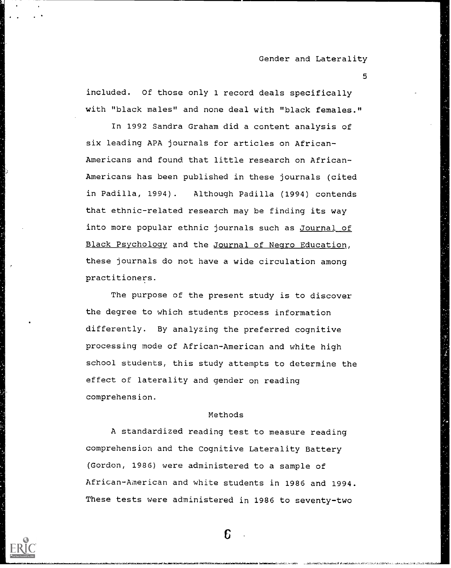5

included. Of those only 1 record deals specifically with "black males" and none deal with "black females."

In 1992 Sandra Graham did a content analysis of six leading APA journals for articles on African-Americans and found that little research on African-Americans has been published in these journals (cited in Padilla, 1994). Although Padilla (1994) contends that ethnic-related research may be finding its way into more popular ethnic journals such as Journal of Black Psychology and the Journal of Negro Education, these journals do not have a wide circulation among practitioners.

The purpose of the present study is to discover the degree to which students process information differently. By analyzing the preferred cognitive processing mode of African-American and white high school students, this study attempts to determine the effect of laterality and gender on reading comprehension.

#### Methods

A standardized reading test to measure reading comprehension and the Cognitive Laterality Battery (Gordon, 1986) were administered to a sample of African-American and white students in 1986 and 1994. These tests were administered in 1986 to seventy-two

£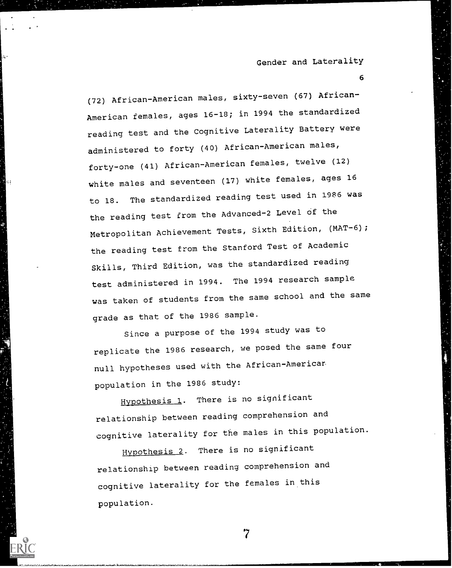6

(72) African-American males, sixty-seven (67) African-American females, ages 16-18; in 1994 the standardized reading test and the Cognitive Laterality Battery were administered to forty (40) African-American males, forty-one (41) African-American females, twelve (12) white males and seventeen (17) white females, ages 16 to 18. The standardized reading test used in 1986 was the reading test from the Advanced-2 Level of the Metropolitan Achievement Tests, Sixth Edition, (MAT-6); the reading test from the Stanford Test of Academic Skills, Third Edition, was the standardized reading test administered in 1994. The 1994 research sample was taken of students from the same school and the same grade as that of the 1986 sample.

Since a purpose of the 1994 study was to replicate the 1986 research, we posed the same four null hypotheses used with the African-Americar population in the 1986 study:

Hypothesis 1. There is no significant relationship between reading comprehension and cognitive laterality for the males in this population.

Hypothesis 2. There is no significant relationship between reading comprehension and cognitive laterality for the females in this population.

\*7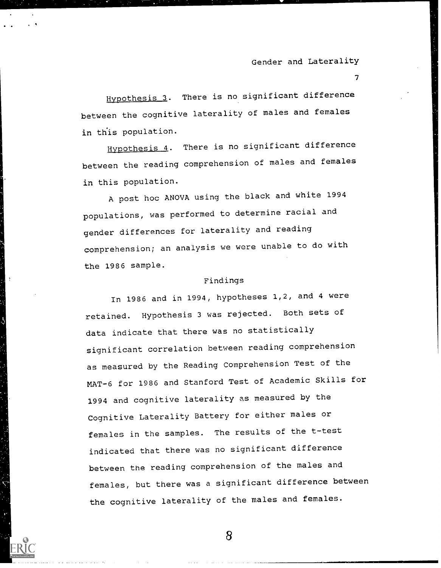$T_{\rm{max}}$ 

Hypothesis 3. There is no significant difference between the cognitive laterality of males and females in this population.

Hypothesis 4. There is no significant difference between the reading comprehension of males and females in this population.

A post hoc ANOVA using the black and white <sup>1994</sup> populations, was performed to determine racial and gender differences for laterality and reading comprehension; an analysis we were unable to do with the 1986 sample.

#### Findings

In 1986 and in 1994, hypotheses 1,2, and 4 were retained. Hypothesis 3 was rejected. Both sets of data indicate that there was no statistically significant correlation between reading comprehension as measured by the Reading Comprehension Test of the MAT-6 for 1986 and Stanford Test of Academic Skills for 1994 and cognitive laterality as measured by the Cognitive Laterality Battery for either males or females in the samples. The results of the t-test indicated that there was no significant difference between the reading comprehension of the males and females, but there was a significant difference between the cognitive laterality of the males and females.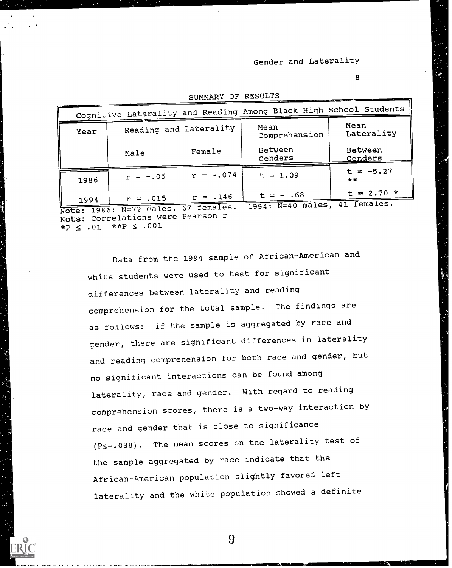8

|      |                        |             | Cognitive Laterality and Reading Among Black High School Students |                                |
|------|------------------------|-------------|-------------------------------------------------------------------|--------------------------------|
| Year | Reading and Laterality |             | Mean<br>Comprehension                                             | Mean<br>Laterality             |
|      | Male                   | Female      | Between<br>Genders                                                | Between<br><u>Genders</u>      |
| 1986 | $r = -.05$             | $r = -.074$ | $t = 1.09$                                                        | $t = -5.27$<br>$**$            |
| 1994 | $r = .015$             | $r = .146$  | $t = -0.68$<br>$7001 \cdot N = 10$ males                          | $t = 2.70 *$<br>females.<br>41 |

SUMMARY OF RESULTS

<u>1994: Note: 1986: N=72 males, 67 females.</u> 1994: N=40 males, 41 females.<br>Note: 1986: N=72 males, 67 females. 1994: N=40 males, 41 females. Note: Correlations were Pearson r  $*P \le .01$   $*P \le .001$ 

Data from the 1994 sample of African-American and white students were used to test for significant differences between laterality and reading comprehension for the total sample. The findings are as follows: if the sample is aggregated by race and gender, there are significant differences in laterality and reading comprehension for both race and gender, but no significant interactions can be found among laterality, race and gender. With regard to reading comprehension scores, there is a two-way interaction by race and gender that is close to significance (P<=.088). The mean scores on the laterality test of the sample aggregated by race indicate that the African-American population slightly favored left laterality and the white population showed a definite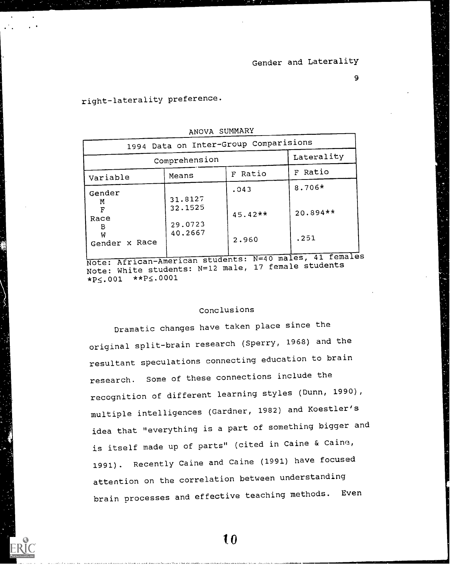# right-laterality preference.

|                               | ANOVA SUMMARY                                                  |                                       |                                                                               |
|-------------------------------|----------------------------------------------------------------|---------------------------------------|-------------------------------------------------------------------------------|
|                               |                                                                | 1994 Data on Inter-Group Comparisions |                                                                               |
|                               | Comprehension                                                  |                                       | Laterality                                                                    |
| Variable                      | Means                                                          | F Ratio                               | F Ratio                                                                       |
| Gender<br>M<br>F<br>Race<br>B | 31.8127<br>32.1525<br>29.0723                                  | .043<br>$45.42**$                     | 8.706*<br>20.894**                                                            |
| W<br>Gender x Race            | 40.2667                                                        | 2.960                                 | .251                                                                          |
|                               | $\ldots$ $\ldots$ $\ldots$ $\ldots$ $\ldots$ $\ldots$ $\ldots$ |                                       | Note: African-American students: N=40 males, 41 females<br>17 female students |

Note: White students: N=12 male, 17 female students  $*P \le .001$   $*P \le .0001$ 

### Conclusions

Dramatic changes have taken place since the original split-brain research (Sperry, 1968) and the resultant speculations connecting education to brain research. Some of these connections include the recognition of different learning styles (Dunn, 1990), multiple intelligences (Gardner, 1982) and Koestler's idea that "everything is a part of something bigger and is itself made up of parts" (cited in Caine & Caine, 1991). Recently Caine and Caine (1991) have focused attention on the correlation between understanding brain processes and effective teaching methods. Even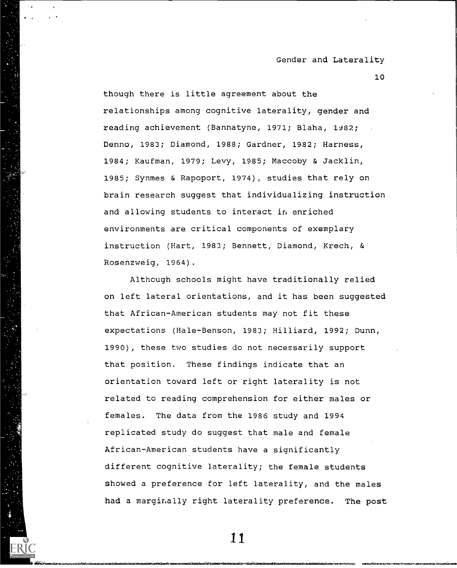10

though there is little agreement about the relationships among cognitive laterality, gender and reading achievement (Bannatyne, 1971; Blaha, 1982; Denno, 1983; Diamond, 1988; Gardner, 1982; Harness, 1984; Kaufman, 1979; Levy, 1985; Maccoby & Jacklin, 1985; Synmes & Rapoport, 1974), studies that rely on brain research suggest that individualizing instruction and allowing students to interact in enriched environments are critical components of exemplary instruction (Hart, 1983; Bennett, Diamond, Krech, & Rosenzweig, 1964).

Although schools might have traditionally relied on left lateral orientations, and it has been suggested that African-American students may not fit these expectations (Hale-Benson, 1983; Hilliard, 1992; Dunn, 1990), these two studies do not necessarily support that position. These findings indicate that an orientation toward left or right laterality is not related to reading comprehension for either males or females. The data from the 1986 study and 1994 replicated study do suggest that male and female African-American students have a significantly different cognitive laterality; the female students showed a preference for left laterality, and the males had a marginally right laterality preference. The post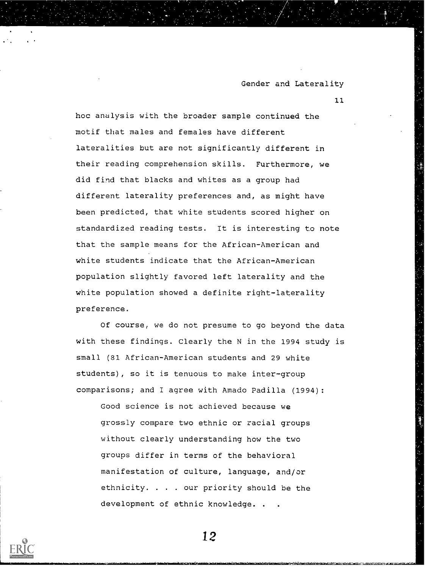11

hoc analysis with the broader sample continued the motif that males and females have different lateralities but are not significantly different in their reading comprehension skills. Furthermore, we did find that blacks and whites as a group had different laterality preferences and, as might have been predicted, that white students scored higher on standardized reading tests. It is interesting to note that the sample means for the African-American and white students indicate that the African-American population slightly favored left laterality and the white population showed a definite right-laterality preference.

Of course, we do not presume to go beyond the data with these findings. Clearly the N in the 1994 study is small (81 African-American students and 29 white students), so it is tenuous to make inter-group comparisons; and I agree with Amado Padilla (1994):

Good science is not achieved because we grossly compare two ethnic or racial groups without clearly understanding how the two groups differ in terms of the behavioral manifestation of culture, language, and/or ethnicity. . . . our priority should be the development of ethnic knowledge. .

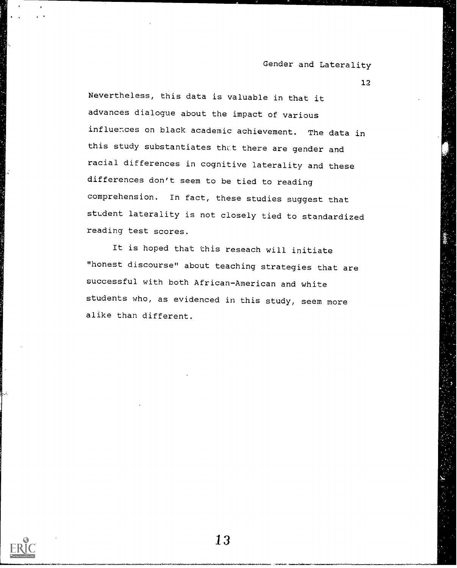12

Nevertheless, this data is valuable in that it advances dialogue about the impact of various influences on black academic achievement. The data in this study substantiates that there are gender and racial differences in cognitive laterality and these differences don't seem to be tied to reading comprehension. In fact, these studies suggest that student laterality is not closely tied to standardized reading test scores.

It is hoped that this reseach will initiate "honest discourse" about teaching strategies that are successful with both African-American and white students who, as evidenced in this study, seem more alike than different.

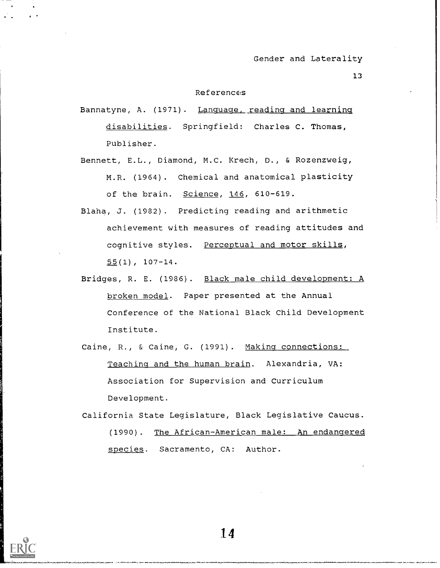#### References

- Bannatyne, A. (1971). Language, reading and learning disabilities. Springfield: Charles C. Thomas, Publisher.
- Bennett, E.L., Diamond, M.C. Krech, D., & Rozenzweig, M.R. (1964). Chemical and anatomical plasticity of the brain. Science, 146, 610-619.
- Blaha, J. (1982). Predicting reading and arithmetic achievement with measures of reading attitudes and cognitive styles. Perceptual and motor skills,  $55(1)$ , 107-14.
- Bridges, R. E. (1986). Black male child development: A broken model. Paper presented at the Annual Conference of the National Black Child Development Institute.
- Caine, R., & Caine, G. (1991). Making connections: Teaching and the human brain. Alexandria, VA: Association for Supervision and Curriculum Development.
- California State Legislature, Black Legislative Caucus. (1990). The African-American male: An endangered species. Sacramento, CA: Author.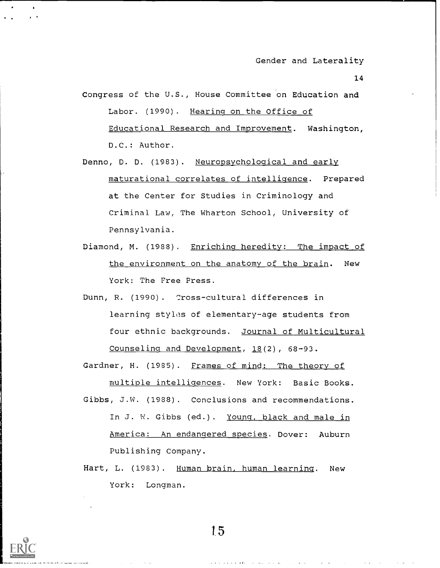- Congress of the U.S., House Committee on Education and Labor. (1990). Hearing on the Office of Educational Research and Improvement. Washington, D.C.: Author.
- Denno, D. D. (1983). Neuropsychological and early maturational correlates of intelligence. Prepared at the Center for Studies in Criminology and Criminal Law, The Wharton School, University of Pennsylvania.
- Diamond, M. (1988). Enriching heredity: The impact of the environment on the anatomy of the brain. New York: The Free Press.
- Dunn, R. (1990). Cross-cultural differences in learning styles of elementary-age students from four ethnic backgrounds. Journal of Multicultural Counseling and Development, 18(2), 68-93.

Gardner, H. (1985). Frames of mind: The theory of multiple intelligences. New York: Basic Books. Gibbs, J.W. (1988). Conclusions and recommendations. In J. W. Gibbs (ed.). Young, black and male in America: An endangered species. Dover: Auburn Publishing Company.

Hart, L. (1983). Human brain, human learning. New York: Longman.



1.5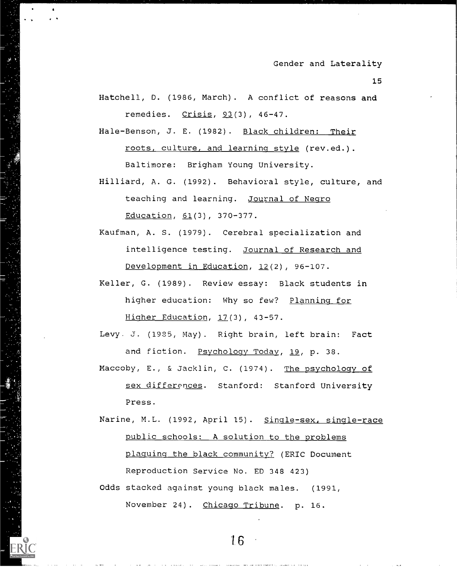15

Hatchell, D. (1986, March). A conflict of reasons and remedies. Crisis, 93(3), 46-47.

Hale-Benson, J. E. (1982). Black children: Their roots, culture, and learning style (rev.ed.). Baltimore: Brigham Young University.

- Hilliard, A. G. (1992). Behavioral style, culture, and teaching and learning. Journal of Negro Education, 61(3), 370-377.
- Kaufman, A. S. (1979). Cerebral specialization and intelligence testing. Journal of Research and Development in Education, 12(2), 96-107.
- Keller, G. (1989). Review essay: Black students in higher education: Why so few? Planning for Higher Education, 17(3), 43-57.

Levy. J. (1935, May). Right brain, left brain: Fact and fiction. Psychology Today, 19, p. 38.

- Maccoby, E., & Jacklin, C. (1974). The psychology of sex differences. Stanford: Stanford University Press.
- Narine, M.L. (1992, April 15). Single-sex, single-race public schools: A solution to the problems plaguing the black community? (ERIC Document Reproduction Service No. ED 348 423)

Odds stacked against young black males. (1991, November 24). Chicago Tribune. p. 16.